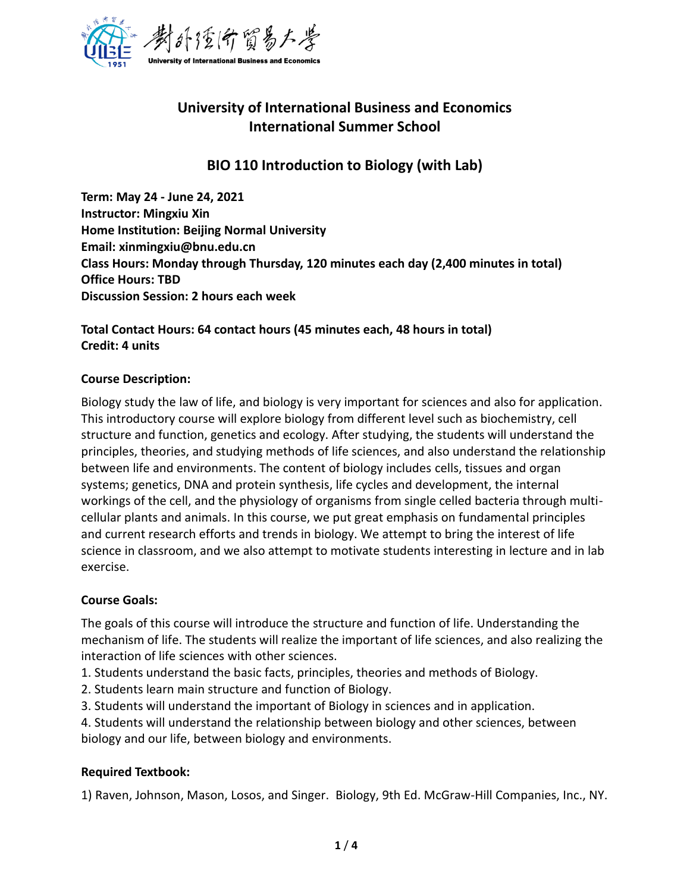

# **University of International Business and Economics International Summer School**

## **BIO 110 Introduction to Biology (with Lab)**

**Term: May 24 - June 24, 2021 Instructor: Mingxiu Xin Home Institution: Beijing Normal University Email: xinmingxiu@bnu.edu.cn Class Hours: Monday through Thursday, 120 minutes each day (2,400 minutes in total) Office Hours: TBD Discussion Session: 2 hours each week** 

### **Total Contact Hours: 64 contact hours (45 minutes each, 48 hours in total) Credit: 4 units**

#### **Course Description:**

Biology study the law of life, and biology is very important for sciences and also for application. This introductory course will explore biology from different level such as biochemistry, cell structure and function, genetics and ecology. After studying, the students will understand the principles, theories, and studying methods of life sciences, and also understand the relationship between life and environments. The content of biology includes cells, tissues and organ systems; genetics, DNA and protein synthesis, life cycles and development, the internal workings of the cell, and the physiology of organisms from single celled bacteria through multicellular plants and animals. In this course, we put great emphasis on fundamental principles and current research efforts and trends in biology. We attempt to bring the interest of life science in classroom, and we also attempt to motivate students interesting in lecture and in lab exercise.

#### **Course Goals:**

The goals of this course will introduce the structure and function of life. Understanding the mechanism of life. The students will realize the important of life sciences, and also realizing the interaction of life sciences with other sciences.

- 1. Students understand the basic facts, principles, theories and methods of Biology.
- 2. Students learn main structure and function of Biology.
- 3. Students will understand the important of Biology in sciences and in application.

4. Students will understand the relationship between biology and other sciences, between biology and our life, between biology and environments.

### **Required Textbook:**

1) Raven, Johnson, Mason, Losos, and Singer. Biology, 9th Ed. McGraw-Hill Companies, Inc., NY.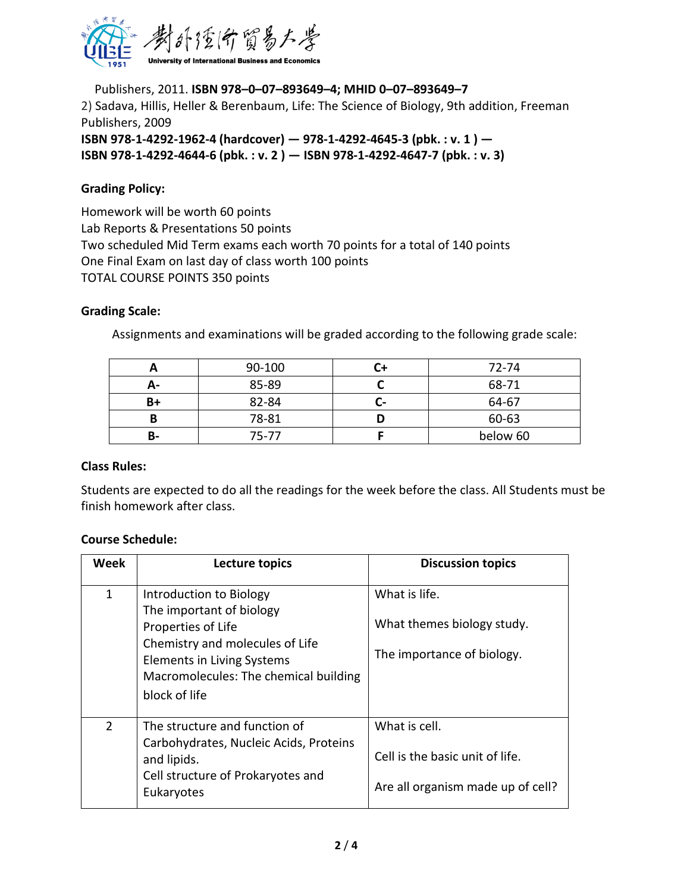

Publishers, 2011. **ISBN 978–0–07–893649–4; MHID 0–07–893649–7** 2) Sadava, Hillis, Heller & Berenbaum, Life: The Science of Biology, 9th addition, Freeman Publishers, 2009

**ISBN 978-1-4292-1962-4 (hardcover) — 978-1-4292-4645-3 (pbk. : v. 1 ) — ISBN 978-1-4292-4644-6 (pbk. : v. 2 ) — ISBN 978-1-4292-4647-7 (pbk. : v. 3)**

#### **Grading Policy:**

Homework will be worth 60 points Lab Reports & Presentations 50 points Two scheduled Mid Term exams each worth 70 points for a total of 140 points One Final Exam on last day of class worth 100 points TOTAL COURSE POINTS 350 points

#### **Grading Scale:**

Assignments and examinations will be graded according to the following grade scale:

|    | 90-100 |                | 72-74    |
|----|--------|----------------|----------|
| A- | 85-89  |                | 68-71    |
| B+ | 82-84  | $\blacksquare$ | 64-67    |
|    | 78-81  |                | 60-63    |
| В- | 75-77  |                | below 60 |

#### **Class Rules:**

Students are expected to do all the readings for the week before the class. All Students must be finish homework after class.

#### **Course Schedule:**

| Week           | Lecture topics                                                                                                                                                                                       | <b>Discussion topics</b>                                                              |
|----------------|------------------------------------------------------------------------------------------------------------------------------------------------------------------------------------------------------|---------------------------------------------------------------------------------------|
| $\mathbf 1$    | Introduction to Biology<br>The important of biology<br>Properties of Life<br>Chemistry and molecules of Life<br>Elements in Living Systems<br>Macromolecules: The chemical building<br>block of life | What is life.<br>What themes biology study.<br>The importance of biology.             |
| $\overline{2}$ | The structure and function of<br>Carbohydrates, Nucleic Acids, Proteins<br>and lipids.<br>Cell structure of Prokaryotes and<br>Eukaryotes                                                            | What is cell.<br>Cell is the basic unit of life.<br>Are all organism made up of cell? |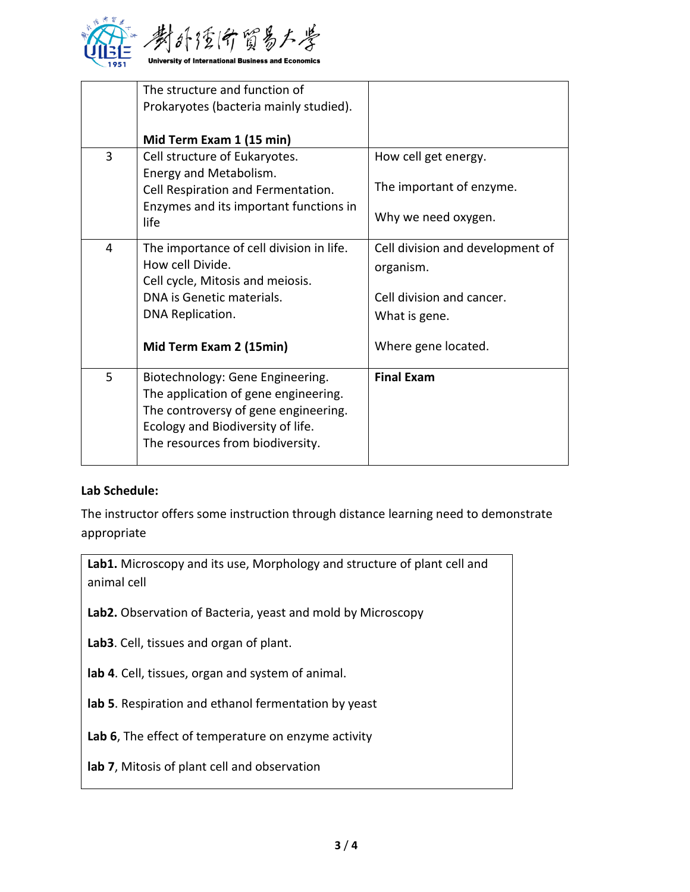

|   | The structure and function of<br>Prokaryotes (bacteria mainly studied).<br>Mid Term Exam 1 (15 min)                                                                                       |                                                                                                                    |
|---|-------------------------------------------------------------------------------------------------------------------------------------------------------------------------------------------|--------------------------------------------------------------------------------------------------------------------|
| 3 | Cell structure of Eukaryotes.<br>Energy and Metabolism.<br>Cell Respiration and Fermentation.<br>Enzymes and its important functions in<br>life                                           | How cell get energy.<br>The important of enzyme.<br>Why we need oxygen.                                            |
| 4 | The importance of cell division in life.<br>How cell Divide.<br>Cell cycle, Mitosis and meiosis.<br>DNA is Genetic materials.<br>DNA Replication.<br>Mid Term Exam 2 (15min)              | Cell division and development of<br>organism.<br>Cell division and cancer.<br>What is gene.<br>Where gene located. |
| 5 | Biotechnology: Gene Engineering.<br>The application of gene engineering.<br>The controversy of gene engineering.<br>Ecology and Biodiversity of life.<br>The resources from biodiversity. | <b>Final Exam</b>                                                                                                  |

#### **Lab Schedule:**

The instructor offers some instruction through distance learning need to demonstrate appropriate

Lab1. Microscopy and its use, Morphology and structure of plant cell and animal cell

**Lab2.** Observation of Bacteria, yeast and mold by Microscopy

**Lab3**. Cell, tissues and organ of plant.

**lab 4**. Cell, tissues, organ and system of animal.

**lab 5**. Respiration and ethanol fermentation by yeast

**Lab 6**, The effect of temperature on enzyme activity

**lab 7**, Mitosis of plant cell and observation